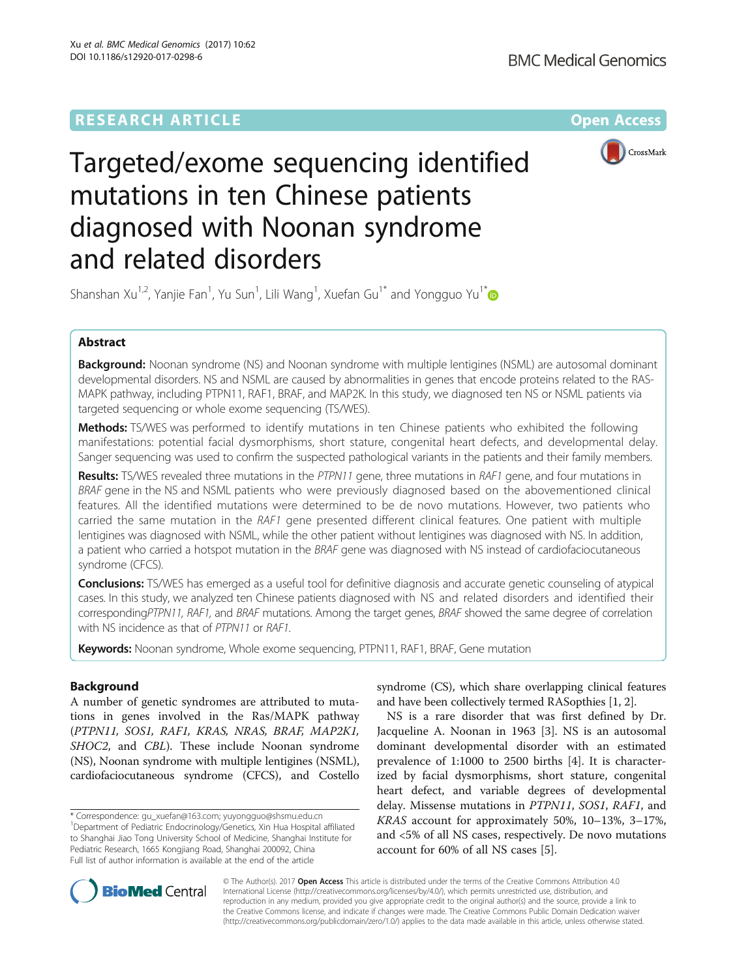

# Targeted/exome sequencing identified mutations in ten Chinese patients diagnosed with Noonan syndrome and related disorders

Shanshan Xu<sup>1,2</sup>, Yanjie Fan<sup>1</sup>, Yu Sun<sup>1</sup>, Lili Wang<sup>1</sup>, Xuefan Gu<sup>1[\\*](http://orcid.org/0000-0002-4472-0910)</sup> and Yongguo Yu<sup>1\*</sup>

# Abstract

Background: Noonan syndrome (NS) and Noonan syndrome with multiple lentigines (NSML) are autosomal dominant developmental disorders. NS and NSML are caused by abnormalities in genes that encode proteins related to the RAS-MAPK pathway, including PTPN11, RAF1, BRAF, and MAP2K. In this study, we diagnosed ten NS or NSML patients via targeted sequencing or whole exome sequencing (TS/WES).

Methods: TS/WES was performed to identify mutations in ten Chinese patients who exhibited the following manifestations: potential facial dysmorphisms, short stature, congenital heart defects, and developmental delay. Sanger sequencing was used to confirm the suspected pathological variants in the patients and their family members.

Results: TS/WES revealed three mutations in the PTPN11 gene, three mutations in RAF1 gene, and four mutations in BRAF gene in the NS and NSML patients who were previously diagnosed based on the abovementioned clinical features. All the identified mutations were determined to be de novo mutations. However, two patients who carried the same mutation in the RAF1 gene presented different clinical features. One patient with multiple lentigines was diagnosed with NSML, while the other patient without lentigines was diagnosed with NS. In addition, a patient who carried a hotspot mutation in the BRAF gene was diagnosed with NS instead of cardiofaciocutaneous syndrome (CFCS).

Conclusions: TS/WES has emerged as a useful tool for definitive diagnosis and accurate genetic counseling of atypical cases. In this study, we analyzed ten Chinese patients diagnosed with NS and related disorders and identified their correspondingPTPN11, RAF1, and BRAF mutations. Among the target genes, BRAF showed the same degree of correlation with NS incidence as that of PTPN11 or RAF1.

Keywords: Noonan syndrome, Whole exome sequencing, PTPN11, RAF1, BRAF, Gene mutation

# Background

A number of genetic syndromes are attributed to mutations in genes involved in the Ras/MAPK pathway (PTPN11, SOS1, RAF1, KRAS, NRAS, BRAF, MAP2K1, SHOC2, and CBL). These include Noonan syndrome (NS), Noonan syndrome with multiple lentigines (NSML), cardiofaciocutaneous syndrome (CFCS), and Costello

\* Correspondence: [gu\\_xuefan@163.com](mailto:gu_xuefan@163.com); [yuyongguo@shsmu.edu.cn](mailto:yuyongguo@shsmu.edu.cn) <sup>1</sup> <sup>1</sup>Department of Pediatric Endocrinology/Genetics, Xin Hua Hospital affiliated to Shanghai Jiao Tong University School of Medicine, Shanghai Institute for Pediatric Research, 1665 Kongjiang Road, Shanghai 200092, China Full list of author information is available at the end of the article

syndrome (CS), which share overlapping clinical features and have been collectively termed RASopthies [\[1](#page-6-0), [2](#page-6-0)].

NS is a rare disorder that was first defined by Dr. Jacqueline A. Noonan in 1963 [[3](#page-6-0)]. NS is an autosomal dominant developmental disorder with an estimated prevalence of 1:1000 to 2500 births [\[4\]](#page-6-0). It is characterized by facial dysmorphisms, short stature, congenital heart defect, and variable degrees of developmental delay. Missense mutations in PTPN11, SOS1, RAF1, and KRAS account for approximately 50%, 10–13%, 3–17%, and <5% of all NS cases, respectively. De novo mutations account for 60% of all NS cases [\[5\]](#page-6-0).



© The Author(s). 2017 **Open Access** This article is distributed under the terms of the Creative Commons Attribution 4.0 International License [\(http://creativecommons.org/licenses/by/4.0/](http://creativecommons.org/licenses/by/4.0/)), which permits unrestricted use, distribution, and reproduction in any medium, provided you give appropriate credit to the original author(s) and the source, provide a link to the Creative Commons license, and indicate if changes were made. The Creative Commons Public Domain Dedication waiver [\(http://creativecommons.org/publicdomain/zero/1.0/](http://creativecommons.org/publicdomain/zero/1.0/)) applies to the data made available in this article, unless otherwise stated.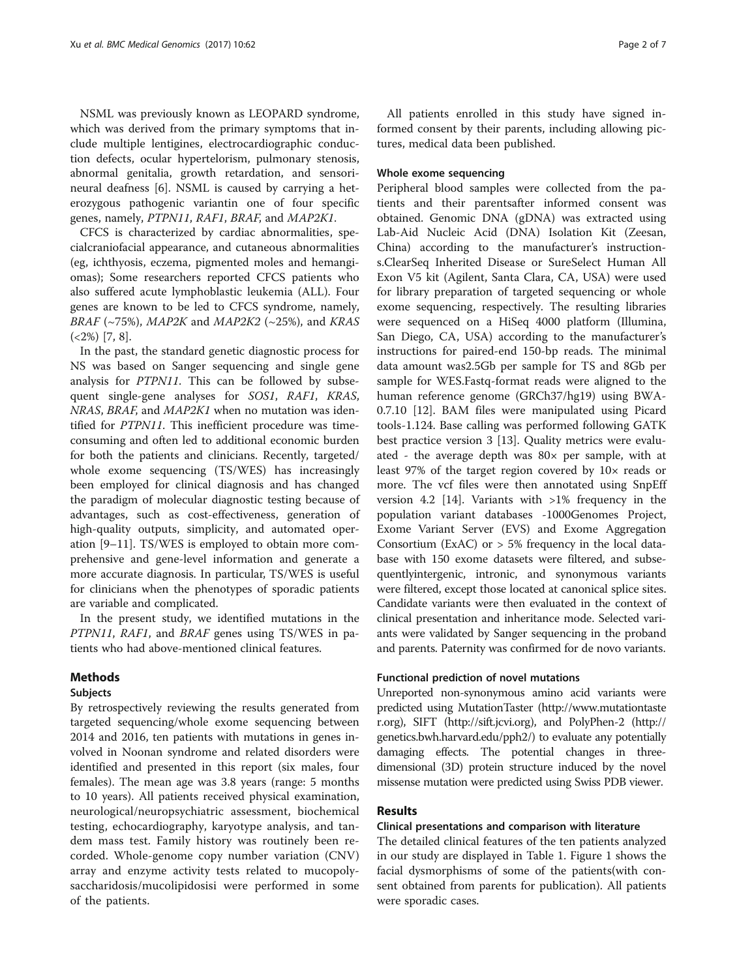NSML was previously known as LEOPARD syndrome, which was derived from the primary symptoms that include multiple lentigines, electrocardiographic conduction defects, ocular hypertelorism, pulmonary stenosis, abnormal genitalia, growth retardation, and sensorineural deafness [[6\]](#page-6-0). NSML is caused by carrying a heterozygous pathogenic variantin one of four specific genes, namely, PTPN11, RAF1, BRAF, and MAP2K1.

CFCS is characterized by cardiac abnormalities, specialcraniofacial appearance, and cutaneous abnormalities (eg, ichthyosis, eczema, pigmented moles and hemangiomas); Some researchers reported CFCS patients who also suffered acute lymphoblastic leukemia (ALL). Four genes are known to be led to CFCS syndrome, namely, BRAF (~75%), MAP2K and MAP2K2 (~25%), and KRAS  $( $2\%$ ) [7, 8].$  $( $2\%$ ) [7, 8].$  $( $2\%$ ) [7, 8].$  $( $2\%$ ) [7, 8].$  $( $2\%$ ) [7, 8].$ 

In the past, the standard genetic diagnostic process for NS was based on Sanger sequencing and single gene analysis for PTPN11. This can be followed by subsequent single-gene analyses for SOS1, RAF1, KRAS, NRAS, BRAF, and MAP2K1 when no mutation was identified for PTPN11. This inefficient procedure was timeconsuming and often led to additional economic burden for both the patients and clinicians. Recently, targeted/ whole exome sequencing (TS/WES) has increasingly been employed for clinical diagnosis and has changed the paradigm of molecular diagnostic testing because of advantages, such as cost-effectiveness, generation of high-quality outputs, simplicity, and automated operation [[9](#page-6-0)–[11](#page-6-0)]. TS/WES is employed to obtain more comprehensive and gene-level information and generate a more accurate diagnosis. In particular, TS/WES is useful for clinicians when the phenotypes of sporadic patients are variable and complicated.

In the present study, we identified mutations in the PTPN11, RAF1, and BRAF genes using TS/WES in patients who had above-mentioned clinical features.

## Methods

#### Subjects

By retrospectively reviewing the results generated from targeted sequencing/whole exome sequencing between 2014 and 2016, ten patients with mutations in genes involved in Noonan syndrome and related disorders were identified and presented in this report (six males, four females). The mean age was 3.8 years (range: 5 months to 10 years). All patients received physical examination, neurological/neuropsychiatric assessment, biochemical testing, echocardiography, karyotype analysis, and tandem mass test. Family history was routinely been recorded. Whole-genome copy number variation (CNV) array and enzyme activity tests related to mucopolysaccharidosis/mucolipidosisi were performed in some of the patients.

All patients enrolled in this study have signed informed consent by their parents, including allowing pictures, medical data been published.

## Whole exome sequencing

Peripheral blood samples were collected from the patients and their parentsafter informed consent was obtained. Genomic DNA (gDNA) was extracted using Lab-Aid Nucleic Acid (DNA) Isolation Kit (Zeesan, China) according to the manufacturer's instructions.ClearSeq Inherited Disease or SureSelect Human All Exon V5 kit (Agilent, Santa Clara, CA, USA) were used for library preparation of targeted sequencing or whole exome sequencing, respectively. The resulting libraries were sequenced on a HiSeq 4000 platform (Illumina, San Diego, CA, USA) according to the manufacturer's instructions for paired-end 150-bp reads. The minimal data amount was2.5Gb per sample for TS and 8Gb per sample for WES.Fastq-format reads were aligned to the human reference genome (GRCh37/hg19) using BWA-0.7.10 [[12\]](#page-6-0). BAM files were manipulated using Picard tools-1.124. Base calling was performed following GATK best practice version 3 [[13\]](#page-6-0). Quality metrics were evaluated - the average depth was  $80\times$  per sample, with at least 97% of the target region covered by 10× reads or more. The vcf files were then annotated using SnpEff version 4.2 [\[14](#page-6-0)]. Variants with >1% frequency in the population variant databases -1000Genomes Project, Exome Variant Server (EVS) and Exome Aggregation Consortium (ExAC) or  $> 5\%$  frequency in the local database with 150 exome datasets were filtered, and subsequentlyintergenic, intronic, and synonymous variants were filtered, except those located at canonical splice sites. Candidate variants were then evaluated in the context of clinical presentation and inheritance mode. Selected variants were validated by Sanger sequencing in the proband and parents. Paternity was confirmed for de novo variants.

## Functional prediction of novel mutations

Unreported non-synonymous amino acid variants were predicted using MutationTaster ([http://www.mutationtaste](http://www.mutationtaster.org) [r.org](http://www.mutationtaster.org)), SIFT [\(http://sift.jcvi.org\)](http://sift.jcvi.org), and PolyPhen-2 ([http://](http://genetics.bwh.harvard.edu/pph2/) [genetics.bwh.harvard.edu/pph2/\)](http://genetics.bwh.harvard.edu/pph2/) to evaluate any potentially damaging effects. The potential changes in threedimensional (3D) protein structure induced by the novel missense mutation were predicted using Swiss PDB viewer.

## Results

## Clinical presentations and comparison with literature

The detailed clinical features of the ten patients analyzed in our study are displayed in Table [1.](#page-2-0) Figure [1](#page-3-0) shows the facial dysmorphisms of some of the patients(with consent obtained from parents for publication). All patients were sporadic cases.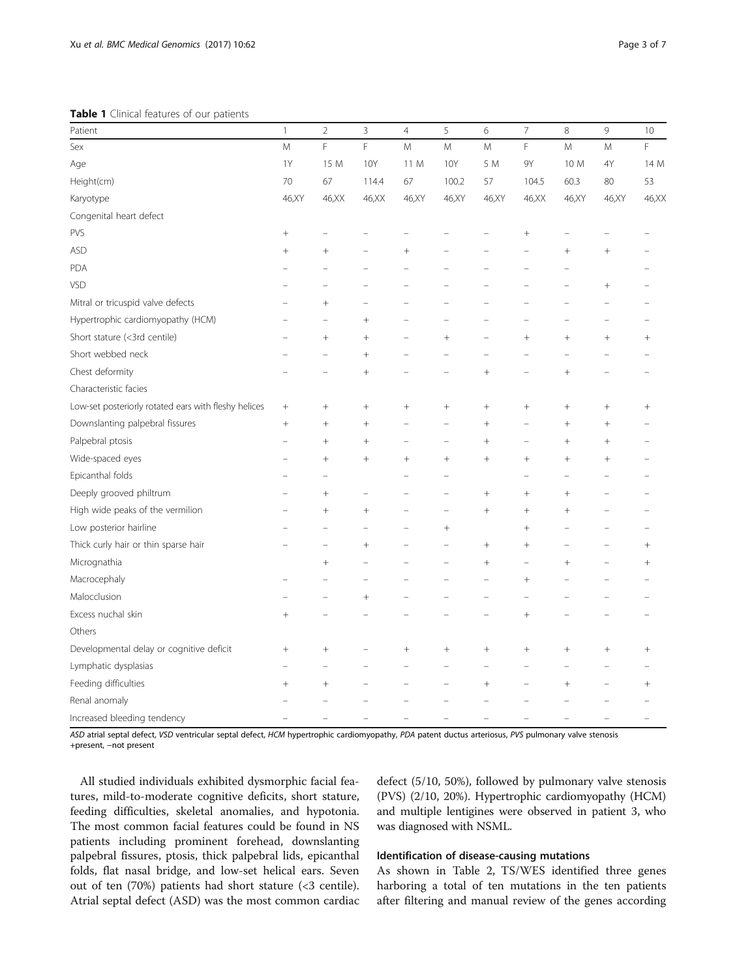<span id="page-2-0"></span>Table 1 Clinical features of our patients

| Patient                                              | $\mathbf{1}$ | $\overline{2}$ | $\mathsf 3$ | $\overline{4}$ | 5      | $\epsilon$         | $\overline{\phantom{a}}$ | 8      | 9              | 10     |
|------------------------------------------------------|--------------|----------------|-------------|----------------|--------|--------------------|--------------------------|--------|----------------|--------|
| Sex                                                  | M            | F              | F           | M              | M      | M                  | F                        | M      | M              | F      |
| Age                                                  | 1Y           | 15 M           | <b>10Y</b>  | 11 M           | 10Y    | 5 M                | 9Υ                       | 10 M   | 4Y             | 14 M   |
| Height(cm)                                           | 70           | 67             | 114.4       | 67             | 100.2  | 57                 | 104.5                    | 60.3   | 80             | 53     |
| Karyotype                                            | 46,XY        | 46, XX         | 46, XX      | 46, XY         | 46, XY | 46, XY             | 46, XX                   | 46,XY  | 46,XY          | 46,XX  |
| Congenital heart defect                              |              |                |             |                |        |                    |                          |        |                |        |
| PVS                                                  | $^{+}$       |                |             |                |        |                    | $^{+}$                   |        |                |        |
| <b>ASD</b>                                           | $^{+}$       | $^{+}$         |             | $^{+}$         |        |                    |                          | $^{+}$ | $^{+}$         |        |
| PDA                                                  |              |                |             |                |        |                    |                          |        |                |        |
| VSD                                                  |              |                |             |                |        |                    |                          |        | $^{+}$         |        |
| Mitral or tricuspid valve defects                    |              | $^{+}$         |             |                |        |                    |                          |        |                |        |
| Hypertrophic cardiomyopathy (HCM)                    |              |                | $^{+}$      |                |        |                    |                          |        | $\overline{a}$ |        |
| Short stature (<3rd centile)                         |              | $^{+}$         | $^{+}$      |                | $^{+}$ |                    | $^{+}$                   | $^{+}$ | $^{+}$         | $^{+}$ |
| Short webbed neck                                    |              |                | $^{+}$      |                |        |                    |                          |        |                |        |
| Chest deformity                                      |              |                | $^{+}$      |                |        | $\ddot{}$          |                          | $^{+}$ |                |        |
| Characteristic facies                                |              |                |             |                |        |                    |                          |        |                |        |
| Low-set posteriorly rotated ears with fleshy helices | $^{+}$       | $^{+}$         | $^{+}$      | $^{+}$         | $^{+}$ | $^{+}$             |                          | $^{+}$ | $^{+}$         | $^{+}$ |
| Downslanting palpebral fissures                      | $^{+}$       | $^{+}$         | $^{+}$      |                |        | $\,+\,$            | -                        | $^{+}$ | $^{+}$         |        |
| Palpebral ptosis                                     |              | $^{+}$         | $^{+}$      |                |        | $\hspace{0.1mm} +$ |                          | $^+$   | $^+$           |        |
| Wide-spaced eyes                                     |              | $^{+}$         | $^{+}$      | $^{+}$         | $^{+}$ | $^{+}$             | $^{+}$                   | $^{+}$ | $^{+}$         |        |
| Epicanthal folds                                     |              |                |             |                |        |                    |                          |        |                |        |
| Deeply grooved philtrum                              |              | $^{+}$         |             |                |        | $^{+}$             | $^{+}$                   | $^{+}$ |                |        |
| High wide peaks of the vermilion                     |              | $^{+}$         | $^{+}$      |                |        | $^{+}$             | $^{+}$                   | $^{+}$ |                |        |
| Low posterior hairline                               |              |                |             |                | $^{+}$ |                    | $^{+}$                   |        |                |        |
| Thick curly hair or thin sparse hair                 |              |                | $^{+}$      |                |        | $^{+}$             | $^{+}$                   |        |                | $^{+}$ |
| Micrognathia                                         |              | $^{+}$         |             |                |        | $^{+}$             | $\overline{\phantom{0}}$ | $^{+}$ |                | $^{+}$ |
| Macrocephaly                                         |              |                |             |                |        |                    |                          |        |                |        |
| Malocclusion                                         |              |                | $^{+}$      |                |        |                    |                          |        |                |        |
| Excess nuchal skin                                   | $^{+}$       |                |             |                |        |                    | $\ddot{+}$               |        |                |        |
| Others                                               |              |                |             |                |        |                    |                          |        |                |        |
| Developmental delay or cognitive deficit             | $^{+}$       | $^{+}$         |             | $^{+}$         | $^{+}$ | $^{+}$             | $^{+}$                   | $^{+}$ | $^{+}$         | $^{+}$ |
| Lymphatic dysplasias                                 |              |                |             |                |        |                    |                          |        |                |        |
| Feeding difficulties                                 | $^{+}$       | $^{+}$         |             |                |        | $^{+}$             |                          | $^{+}$ |                | $^+$   |
| Renal anomaly                                        |              |                |             |                |        |                    |                          |        |                |        |
| Increased bleeding tendency                          |              |                |             |                |        |                    |                          |        |                |        |

ASD atrial septal defect, VSD ventricular septal defect, HCM hypertrophic cardiomyopathy, PDA patent ductus arteriosus, PVS pulmonary valve stenosis +present, −not present

All studied individuals exhibited dysmorphic facial features, mild-to-moderate cognitive deficits, short stature, feeding difficulties, skeletal anomalies, and hypotonia. The most common facial features could be found in NS patients including prominent forehead, downslanting palpebral fissures, ptosis, thick palpebral lids, epicanthal folds, flat nasal bridge, and low-set helical ears. Seven out of ten (70%) patients had short stature (<3 centile). Atrial septal defect (ASD) was the most common cardiac defect (5/10, 50%), followed by pulmonary valve stenosis (PVS) (2/10, 20%). Hypertrophic cardiomyopathy (HCM) and multiple lentigines were observed in patient 3, who was diagnosed with NSML.

## Identification of disease-causing mutations

As shown in Table [2](#page-3-0), TS/WES identified three genes harboring a total of ten mutations in the ten patients after filtering and manual review of the genes according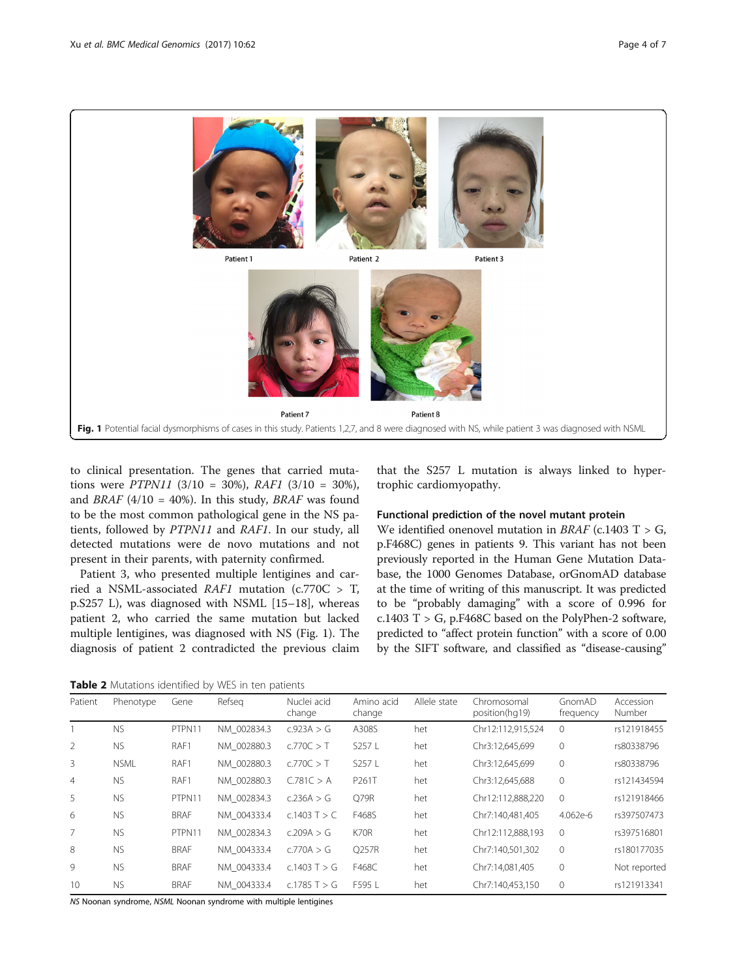<span id="page-3-0"></span>

to clinical presentation. The genes that carried mutations were *PTPN11* (3/10 = 30%), *RAF1* (3/10 = 30%), and BRAF (4/10 = 40%). In this study, BRAF was found to be the most common pathological gene in the NS patients, followed by PTPN11 and RAF1. In our study, all detected mutations were de novo mutations and not present in their parents, with paternity confirmed.

Patient 3, who presented multiple lentigines and carried a NSML-associated  $RAF1$  mutation (c.770C > T, p.S257 L), was diagnosed with NSML [[15](#page-6-0)–[18](#page-6-0)], whereas patient 2, who carried the same mutation but lacked multiple lentigines, was diagnosed with NS (Fig. 1). The diagnosis of patient 2 contradicted the previous claim

that the S257 L mutation is always linked to hypertrophic cardiomyopathy.

## Functional prediction of the novel mutant protein

We identified onenovel mutation in  $BRAF$  (c.1403 T > G, p.F468C) genes in patients 9. This variant has not been previously reported in the Human Gene Mutation Database, the 1000 Genomes Database, orGnomAD database at the time of writing of this manuscript. It was predicted to be "probably damaging" with a score of 0.996 for c.1403 T > G, p.F468C based on the PolyPhen-2 software, predicted to "affect protein function" with a score of 0.00 by the SIFT software, and classified as "disease-causing"

Table 2 Mutations identified by WES in ten patients

| Patient | Phenotype   | Gene        | Refseg      | Nuclei acid<br>change | Amino acid<br>change | Allele state | Chromosomal<br>position(hq19) | GnomAD<br>frequency | Accession<br>Number |
|---------|-------------|-------------|-------------|-----------------------|----------------------|--------------|-------------------------------|---------------------|---------------------|
|         | <b>NS</b>   | PTPN11      | NM 002834.3 | c.923A > G            | A308S                | het          | Chr12:112,915,524             | $\overline{0}$      | rs121918455         |
| 2       | <b>NS</b>   | RAF1        | NM 002880.3 | c.770C > T            | S257 L               | het          | Chr3:12,645,699               | $\mathbf{0}$        | rs80338796          |
| 3       | <b>NSML</b> | RAF1        | NM 002880.3 | c.770C > T            | S257 L               | het          | Chr3:12.645.699               | $\mathbf{0}$        | rs80338796          |
| 4       | <b>NS</b>   | RAF1        | NM 002880.3 | C.781C > A            | P261T                | het          | Chr3:12,645,688               | $\mathbf{0}$        | rs121434594         |
| 5       | <b>NS</b>   | PTPN11      | NM 002834.3 | c.236A > G            | Q79R                 | het          | Chr12:112,888,220             | $\overline{0}$      | rs121918466         |
| 6       | <b>NS</b>   | <b>BRAF</b> | NM 004333.4 | c.1403 T $>$ C        | F468S                | het          | Chr7:140.481.405              | 4.062e-6            | rs397507473         |
| 7       | <b>NS</b>   | PTPN11      | NM 002834.3 | c.209A > G            | K70R                 | het          | Chr12:112,888,193             | $\Omega$            | rs397516801         |
| 8       | <b>NS</b>   | <b>BRAF</b> | NM 004333.4 | c.770A > G            | O257R                | het          | Chr7:140.501.302              | $\overline{0}$      | rs180177035         |
| 9       | <b>NS</b>   | <b>BRAF</b> | NM 004333.4 | c.1403 $T > G$        | F468C                | het          | Chr7:14,081,405               | $\mathbf 0$         | Not reported        |
| 10      | <b>NS</b>   | <b>BRAF</b> | NM 004333.4 | c.1785 T $>$ G        | F595 L               | het          | Chr7:140,453,150              | $\overline{0}$      | rs121913341         |

NS Noonan syndrome, NSML Noonan syndrome with multiple lentigines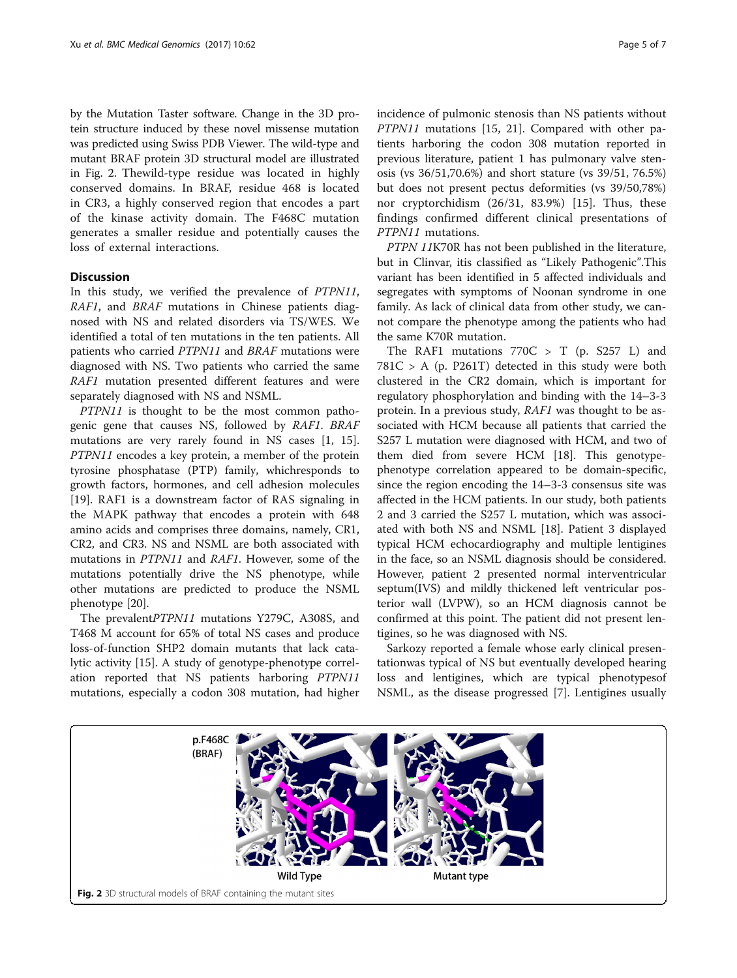by the Mutation Taster software. Change in the 3D protein structure induced by these novel missense mutation was predicted using Swiss PDB Viewer. The wild-type and mutant BRAF protein 3D structural model are illustrated in Fig. 2. Thewild-type residue was located in highly conserved domains. In BRAF, residue 468 is located in CR3, a highly conserved region that encodes a part of the kinase activity domain. The F468C mutation generates a smaller residue and potentially causes the loss of external interactions.

## **Discussion**

In this study, we verified the prevalence of PTPN11, RAF1, and BRAF mutations in Chinese patients diagnosed with NS and related disorders via TS/WES. We identified a total of ten mutations in the ten patients. All patients who carried PTPN11 and BRAF mutations were diagnosed with NS. Two patients who carried the same RAF1 mutation presented different features and were separately diagnosed with NS and NSML.

PTPN11 is thought to be the most common pathogenic gene that causes NS, followed by RAF1. BRAF mutations are very rarely found in NS cases [[1, 15](#page-6-0)]. PTPN11 encodes a key protein, a member of the protein tyrosine phosphatase (PTP) family, whichresponds to growth factors, hormones, and cell adhesion molecules [[19\]](#page-6-0). RAF1 is a downstream factor of RAS signaling in the MAPK pathway that encodes a protein with 648 amino acids and comprises three domains, namely, CR1, CR2, and CR3. NS and NSML are both associated with mutations in PTPN11 and RAF1. However, some of the mutations potentially drive the NS phenotype, while other mutations are predicted to produce the NSML phenotype [\[20](#page-6-0)].

The prevalentPTPN11 mutations Y279C, A308S, and T468 M account for 65% of total NS cases and produce loss-of-function SHP2 domain mutants that lack catalytic activity [\[15](#page-6-0)]. A study of genotype-phenotype correlation reported that NS patients harboring PTPN11 mutations, especially a codon 308 mutation, had higher incidence of pulmonic stenosis than NS patients without PTPN11 mutations [[15](#page-6-0), [21](#page-6-0)]. Compared with other patients harboring the codon 308 mutation reported in previous literature, patient 1 has pulmonary valve stenosis (vs 36/51,70.6%) and short stature (vs 39/51, 76.5%) but does not present pectus deformities (vs 39/50,78%) nor cryptorchidism (26/31, 83.9%) [[15\]](#page-6-0). Thus, these findings confirmed different clinical presentations of PTPN11 mutations.

PTPN 11K70R has not been published in the literature, but in Clinvar, itis classified as "Likely Pathogenic".This variant has been identified in 5 affected individuals and segregates with symptoms of Noonan syndrome in one family. As lack of clinical data from other study, we cannot compare the phenotype among the patients who had the same K70R mutation.

The RAF1 mutations  $770C > T$  (p. S257 L) and  $781C > A$  (p. P261T) detected in this study were both clustered in the CR2 domain, which is important for regulatory phosphorylation and binding with the 14–3-3 protein. In a previous study, RAF1 was thought to be associated with HCM because all patients that carried the S257 L mutation were diagnosed with HCM, and two of them died from severe HCM [[18](#page-6-0)]. This genotypephenotype correlation appeared to be domain-specific, since the region encoding the 14–3-3 consensus site was affected in the HCM patients. In our study, both patients 2 and 3 carried the S257 L mutation, which was associated with both NS and NSML [\[18](#page-6-0)]. Patient 3 displayed typical HCM echocardiography and multiple lentigines in the face, so an NSML diagnosis should be considered. However, patient 2 presented normal interventricular septum(IVS) and mildly thickened left ventricular posterior wall (LVPW), so an HCM diagnosis cannot be confirmed at this point. The patient did not present lentigines, so he was diagnosed with NS.

Sarkozy reported a female whose early clinical presentationwas typical of NS but eventually developed hearing loss and lentigines, which are typical phenotypesof NSML, as the disease progressed [\[7](#page-6-0)]. Lentigines usually

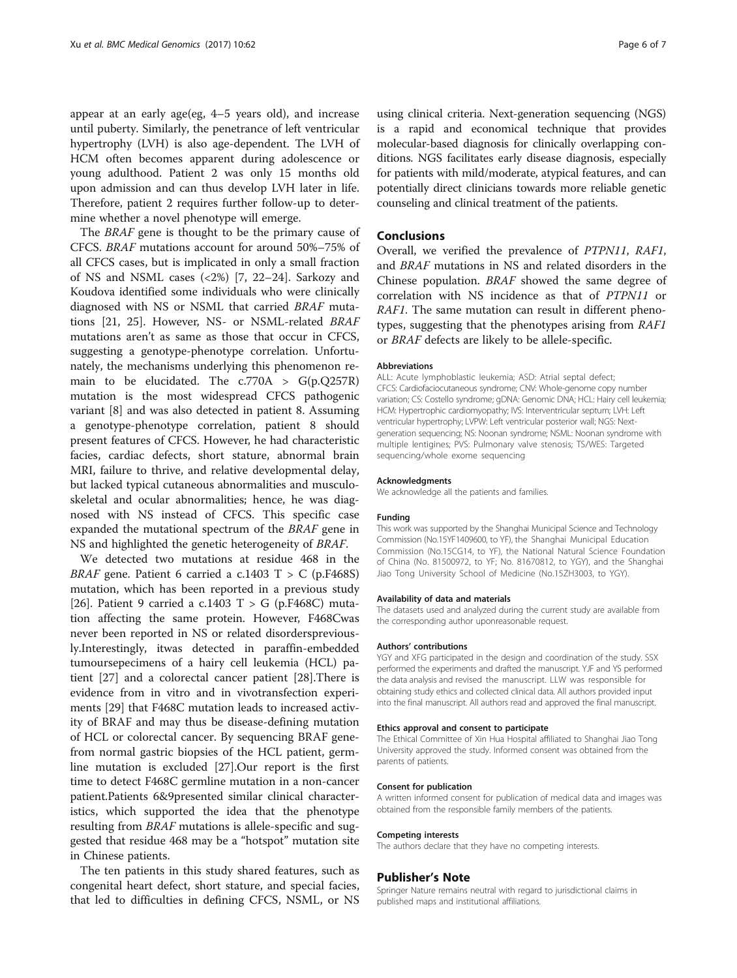appear at an early age(eg, 4–5 years old), and increase until puberty. Similarly, the penetrance of left ventricular hypertrophy (LVH) is also age-dependent. The LVH of HCM often becomes apparent during adolescence or young adulthood. Patient 2 was only 15 months old upon admission and can thus develop LVH later in life. Therefore, patient 2 requires further follow-up to determine whether a novel phenotype will emerge.

The BRAF gene is thought to be the primary cause of CFCS. BRAF mutations account for around 50%–75% of all CFCS cases, but is implicated in only a small fraction of NS and NSML cases (<2%) [[7, 22](#page-6-0)–[24\]](#page-6-0). Sarkozy and Koudova identified some individuals who were clinically diagnosed with NS or NSML that carried BRAF mutations [\[21](#page-6-0), [25](#page-6-0)]. However, NS- or NSML-related BRAF mutations aren't as same as those that occur in CFCS, suggesting a genotype-phenotype correlation. Unfortunately, the mechanisms underlying this phenomenon remain to be elucidated. The  $c.770A > G(p.Q257R)$ mutation is the most widespread CFCS pathogenic variant [\[8](#page-6-0)] and was also detected in patient 8. Assuming a genotype-phenotype correlation, patient 8 should present features of CFCS. However, he had characteristic facies, cardiac defects, short stature, abnormal brain MRI, failure to thrive, and relative developmental delay, but lacked typical cutaneous abnormalities and musculoskeletal and ocular abnormalities; hence, he was diagnosed with NS instead of CFCS. This specific case expanded the mutational spectrum of the BRAF gene in NS and highlighted the genetic heterogeneity of BRAF.

We detected two mutations at residue 468 in the *BRAF* gene. Patient 6 carried a c.1403 T > C (p.F468S) mutation, which has been reported in a previous study [[26\]](#page-6-0). Patient 9 carried a c.1403 T > G (p.F468C) mutation affecting the same protein. However, F468Cwas never been reported in NS or related disorderspreviously.Interestingly, itwas detected in paraffin-embedded tumoursepecimens of a hairy cell leukemia (HCL) patient [\[27\]](#page-6-0) and a colorectal cancer patient [\[28](#page-6-0)].There is evidence from in vitro and in vivotransfection experiments [[29\]](#page-6-0) that F468C mutation leads to increased activity of BRAF and may thus be disease-defining mutation of HCL or colorectal cancer. By sequencing BRAF genefrom normal gastric biopsies of the HCL patient, germline mutation is excluded [\[27](#page-6-0)].Our report is the first time to detect F468C germline mutation in a non-cancer patient.Patients 6&9presented similar clinical characteristics, which supported the idea that the phenotype resulting from BRAF mutations is allele-specific and suggested that residue 468 may be a "hotspot" mutation site in Chinese patients.

The ten patients in this study shared features, such as congenital heart defect, short stature, and special facies, that led to difficulties in defining CFCS, NSML, or NS using clinical criteria. Next-generation sequencing (NGS) is a rapid and economical technique that provides molecular-based diagnosis for clinically overlapping conditions. NGS facilitates early disease diagnosis, especially for patients with mild/moderate, atypical features, and can potentially direct clinicians towards more reliable genetic counseling and clinical treatment of the patients.

## Conclusions

Overall, we verified the prevalence of PTPN11, RAF1, and BRAF mutations in NS and related disorders in the Chinese population. BRAF showed the same degree of correlation with NS incidence as that of PTPN11 or RAF1. The same mutation can result in different phenotypes, suggesting that the phenotypes arising from RAF1 or BRAF defects are likely to be allele-specific.

#### Abbreviations

ALL: Acute lymphoblastic leukemia; ASD: Atrial septal defect; CFCS: Cardiofaciocutaneous syndrome; CNV: Whole-genome copy number variation; CS: Costello syndrome; gDNA: Genomic DNA; HCL: Hairy cell leukemia; HCM: Hypertrophic cardiomyopathy; IVS: Interventricular septum; LVH: Left ventricular hypertrophy; LVPW: Left ventricular posterior wall; NGS: Nextgeneration sequencing; NS: Noonan syndrome; NSML: Noonan syndrome with multiple lentigines; PVS: Pulmonary valve stenosis; TS/WES: Targeted sequencing/whole exome sequencing

#### Acknowledgments

We acknowledge all the patients and families.

#### Funding

This work was supported by the Shanghai Municipal Science and Technology Commission (No.15YF1409600, to YF), the Shanghai Municipal Education Commission (No.15CG14, to YF), the National Natural Science Foundation of China (No. 81500972, to YF; No. 81670812, to YGY), and the Shanghai Jiao Tong University School of Medicine (No.15ZH3003, to YGY).

#### Availability of data and materials

The datasets used and analyzed during the current study are available from the corresponding author uponreasonable request.

#### Authors' contributions

YGY and XFG participated in the design and coordination of the study. SSX performed the experiments and drafted the manuscript. YJF and YS performed the data analysis and revised the manuscript. LLW was responsible for obtaining study ethics and collected clinical data. All authors provided input into the final manuscript. All authors read and approved the final manuscript.

#### Ethics approval and consent to participate

The Ethical Committee of Xin Hua Hospital affiliated to Shanghai Jiao Tong University approved the study. Informed consent was obtained from the parents of patients.

#### Consent for publication

A written informed consent for publication of medical data and images was obtained from the responsible family members of the patients.

#### Competing interests

The authors declare that they have no competing interests.

#### Publisher's Note

Springer Nature remains neutral with regard to jurisdictional claims in published maps and institutional affiliations.